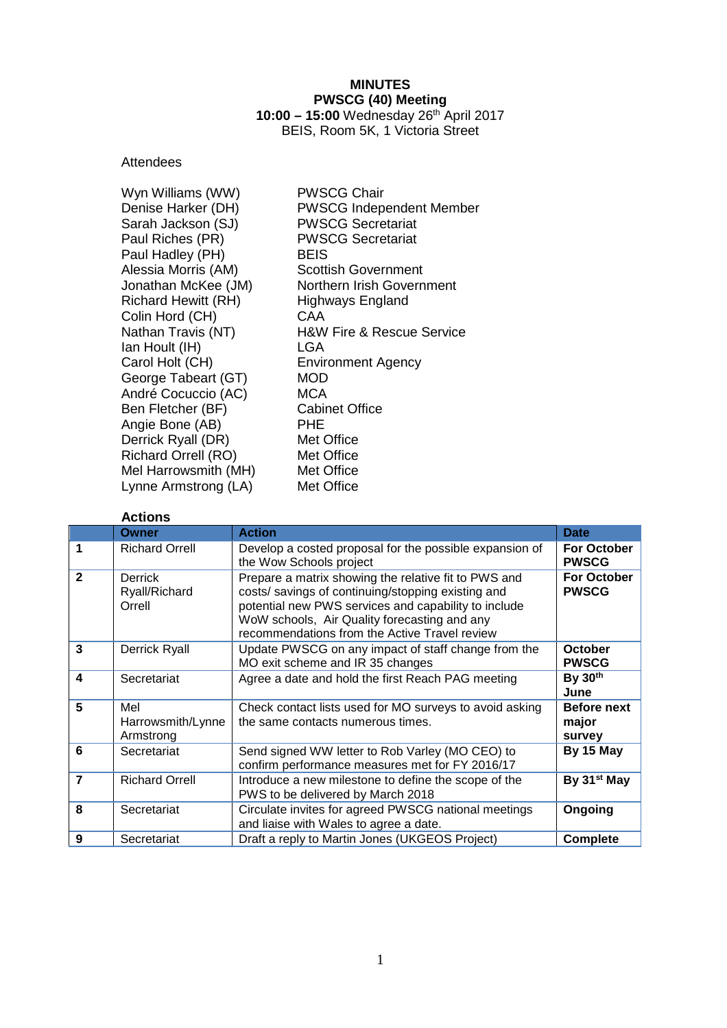### **MINUTES PWSCG (40) Meeting 10:00 – 15:00** Wednesday 26th April 2017 BEIS, Room 5K, 1 Victoria Street

## **Attendees**

| Wyn Williams (WW)          | <b>PWSCG Chair</b>                       |
|----------------------------|------------------------------------------|
| Denise Harker (DH)         | <b>PWSCG Independent Member</b>          |
| Sarah Jackson (SJ)         | <b>PWSCG Secretariat</b>                 |
| Paul Riches (PR)           | <b>PWSCG Secretariat</b>                 |
| Paul Hadley (PH)           | <b>BEIS</b>                              |
| Alessia Morris (AM)        | <b>Scottish Government</b>               |
| Jonathan McKee (JM)        | Northern Irish Government                |
| <b>Richard Hewitt (RH)</b> | <b>Highways England</b>                  |
| Colin Hord (CH)            | CAA                                      |
| Nathan Travis (NT)         | <b>H&amp;W Fire &amp; Rescue Service</b> |
| Ian Hoult (IH)             | LGA                                      |
| Carol Holt (CH)            | <b>Environment Agency</b>                |
| George Tabeart (GT)        | MOD                                      |
| André Cocuccio (AC)        | MCA                                      |
| Ben Fletcher (BF)          | <b>Cabinet Office</b>                    |
| Angie Bone (AB)            | PHE                                      |
| Derrick Ryall (DR)         | Met Office                               |
| <b>Richard Orrell (RO)</b> | Met Office                               |
| Mel Harrowsmith (MH)       | Met Office                               |
| Lynne Armstrong (LA)       | Met Office                               |

# **Actions**

|              | Owner                                     | <b>Action</b>                                                                                                                                                                                                                                                       | <b>Date</b>                           |
|--------------|-------------------------------------------|---------------------------------------------------------------------------------------------------------------------------------------------------------------------------------------------------------------------------------------------------------------------|---------------------------------------|
| 1            | <b>Richard Orrell</b>                     | Develop a costed proposal for the possible expansion of<br>the Wow Schools project                                                                                                                                                                                  | <b>For October</b><br><b>PWSCG</b>    |
| $\mathbf{2}$ | <b>Derrick</b><br>Ryall/Richard<br>Orrell | Prepare a matrix showing the relative fit to PWS and<br>costs/ savings of continuing/stopping existing and<br>potential new PWS services and capability to include<br>WoW schools, Air Quality forecasting and any<br>recommendations from the Active Travel review | <b>For October</b><br><b>PWSCG</b>    |
| 3            | Derrick Ryall                             | Update PWSCG on any impact of staff change from the<br>MO exit scheme and IR 35 changes                                                                                                                                                                             | <b>October</b><br><b>PWSCG</b>        |
| 4            | Secretariat                               | Agree a date and hold the first Reach PAG meeting                                                                                                                                                                                                                   | By 30th<br>June                       |
| 5            | Mel<br>Harrowsmith/Lynne<br>Armstrong     | Check contact lists used for MO surveys to avoid asking<br>the same contacts numerous times.                                                                                                                                                                        | <b>Before next</b><br>major<br>survey |
| 6            | Secretariat                               | Send signed WW letter to Rob Varley (MO CEO) to<br>confirm performance measures met for FY 2016/17                                                                                                                                                                  | By 15 May                             |
| 7            | <b>Richard Orrell</b>                     | Introduce a new milestone to define the scope of the<br>PWS to be delivered by March 2018                                                                                                                                                                           | By 31 <sup>st</sup> May               |
| 8            | Secretariat                               | Circulate invites for agreed PWSCG national meetings<br>and liaise with Wales to agree a date.                                                                                                                                                                      | Ongoing                               |
| 9            | Secretariat                               | Draft a reply to Martin Jones (UKGEOS Project)                                                                                                                                                                                                                      | <b>Complete</b>                       |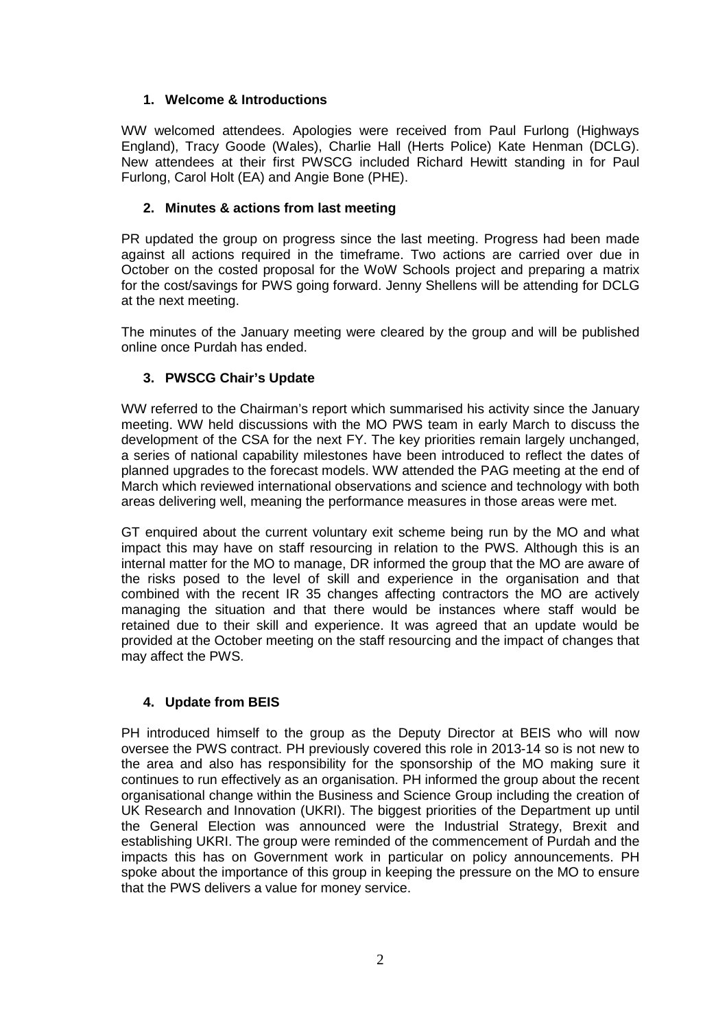# **1. Welcome & Introductions**

WW welcomed attendees. Apologies were received from Paul Furlong (Highways England), Tracy Goode (Wales), Charlie Hall (Herts Police) Kate Henman (DCLG). New attendees at their first PWSCG included Richard Hewitt standing in for Paul Furlong, Carol Holt (EA) and Angie Bone (PHE).

# **2. Minutes & actions from last meeting**

PR updated the group on progress since the last meeting. Progress had been made against all actions required in the timeframe. Two actions are carried over due in October on the costed proposal for the WoW Schools project and preparing a matrix for the cost/savings for PWS going forward. Jenny Shellens will be attending for DCLG at the next meeting.

The minutes of the January meeting were cleared by the group and will be published online once Purdah has ended.

## **3. PWSCG Chair's Update**

WW referred to the Chairman's report which summarised his activity since the January meeting. WW held discussions with the MO PWS team in early March to discuss the development of the CSA for the next FY. The key priorities remain largely unchanged, a series of national capability milestones have been introduced to reflect the dates of planned upgrades to the forecast models. WW attended the PAG meeting at the end of March which reviewed international observations and science and technology with both areas delivering well, meaning the performance measures in those areas were met.

GT enquired about the current voluntary exit scheme being run by the MO and what impact this may have on staff resourcing in relation to the PWS. Although this is an internal matter for the MO to manage, DR informed the group that the MO are aware of the risks posed to the level of skill and experience in the organisation and that combined with the recent IR 35 changes affecting contractors the MO are actively managing the situation and that there would be instances where staff would be retained due to their skill and experience. It was agreed that an update would be provided at the October meeting on the staff resourcing and the impact of changes that may affect the PWS.

# **4. Update from BEIS**

PH introduced himself to the group as the Deputy Director at BEIS who will now oversee the PWS contract. PH previously covered this role in 2013-14 so is not new to the area and also has responsibility for the sponsorship of the MO making sure it continues to run effectively as an organisation. PH informed the group about the recent organisational change within the Business and Science Group including the creation of UK Research and Innovation (UKRI). The biggest priorities of the Department up until the General Election was announced were the Industrial Strategy, Brexit and establishing UKRI. The group were reminded of the commencement of Purdah and the impacts this has on Government work in particular on policy announcements. PH spoke about the importance of this group in keeping the pressure on the MO to ensure that the PWS delivers a value for money service.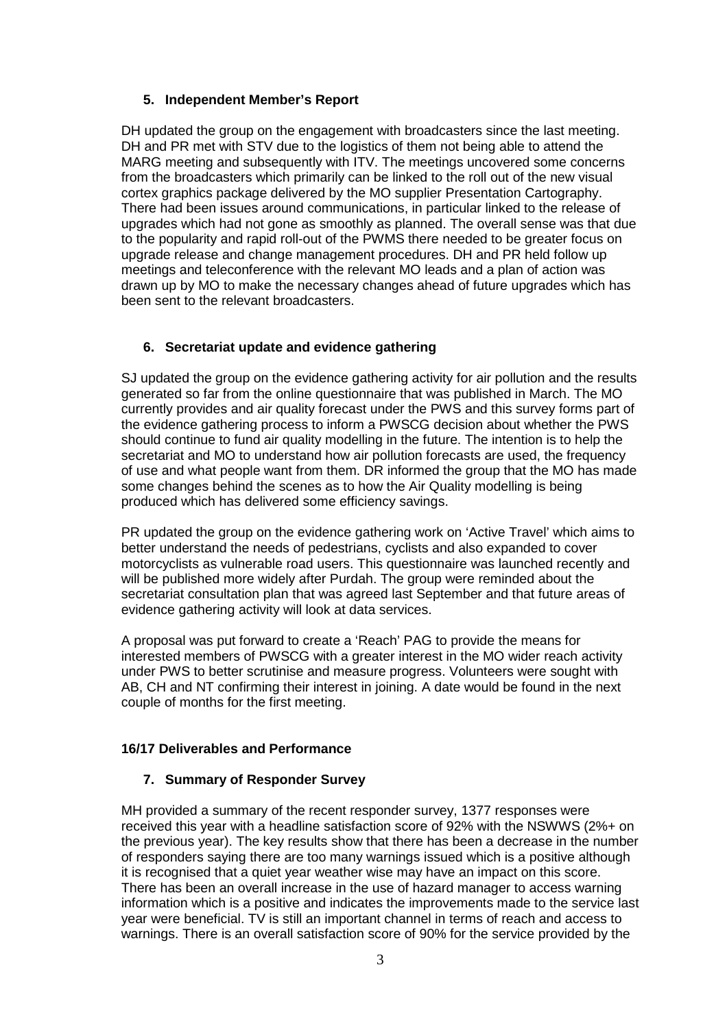### **5. Independent Member's Report**

DH updated the group on the engagement with broadcasters since the last meeting. DH and PR met with STV due to the logistics of them not being able to attend the MARG meeting and subsequently with ITV. The meetings uncovered some concerns from the broadcasters which primarily can be linked to the roll out of the new visual cortex graphics package delivered by the MO supplier Presentation Cartography. There had been issues around communications, in particular linked to the release of upgrades which had not gone as smoothly as planned. The overall sense was that due to the popularity and rapid roll-out of the PWMS there needed to be greater focus on upgrade release and change management procedures. DH and PR held follow up meetings and teleconference with the relevant MO leads and a plan of action was drawn up by MO to make the necessary changes ahead of future upgrades which has been sent to the relevant broadcasters.

## **6. Secretariat update and evidence gathering**

SJ updated the group on the evidence gathering activity for air pollution and the results generated so far from the online questionnaire that was published in March. The MO currently provides and air quality forecast under the PWS and this survey forms part of the evidence gathering process to inform a PWSCG decision about whether the PWS should continue to fund air quality modelling in the future. The intention is to help the secretariat and MO to understand how air pollution forecasts are used, the frequency of use and what people want from them. DR informed the group that the MO has made some changes behind the scenes as to how the Air Quality modelling is being produced which has delivered some efficiency savings.

PR updated the group on the evidence gathering work on 'Active Travel' which aims to better understand the needs of pedestrians, cyclists and also expanded to cover motorcyclists as vulnerable road users. This questionnaire was launched recently and will be published more widely after Purdah. The group were reminded about the secretariat consultation plan that was agreed last September and that future areas of evidence gathering activity will look at data services.

A proposal was put forward to create a 'Reach' PAG to provide the means for interested members of PWSCG with a greater interest in the MO wider reach activity under PWS to better scrutinise and measure progress. Volunteers were sought with AB, CH and NT confirming their interest in joining. A date would be found in the next couple of months for the first meeting.

### **16/17 Deliverables and Performance**

### **7. Summary of Responder Survey**

MH provided a summary of the recent responder survey, 1377 responses were received this year with a headline satisfaction score of 92% with the NSWWS (2%+ on the previous year). The key results show that there has been a decrease in the number of responders saying there are too many warnings issued which is a positive although it is recognised that a quiet year weather wise may have an impact on this score. There has been an overall increase in the use of hazard manager to access warning information which is a positive and indicates the improvements made to the service last year were beneficial. TV is still an important channel in terms of reach and access to warnings. There is an overall satisfaction score of 90% for the service provided by the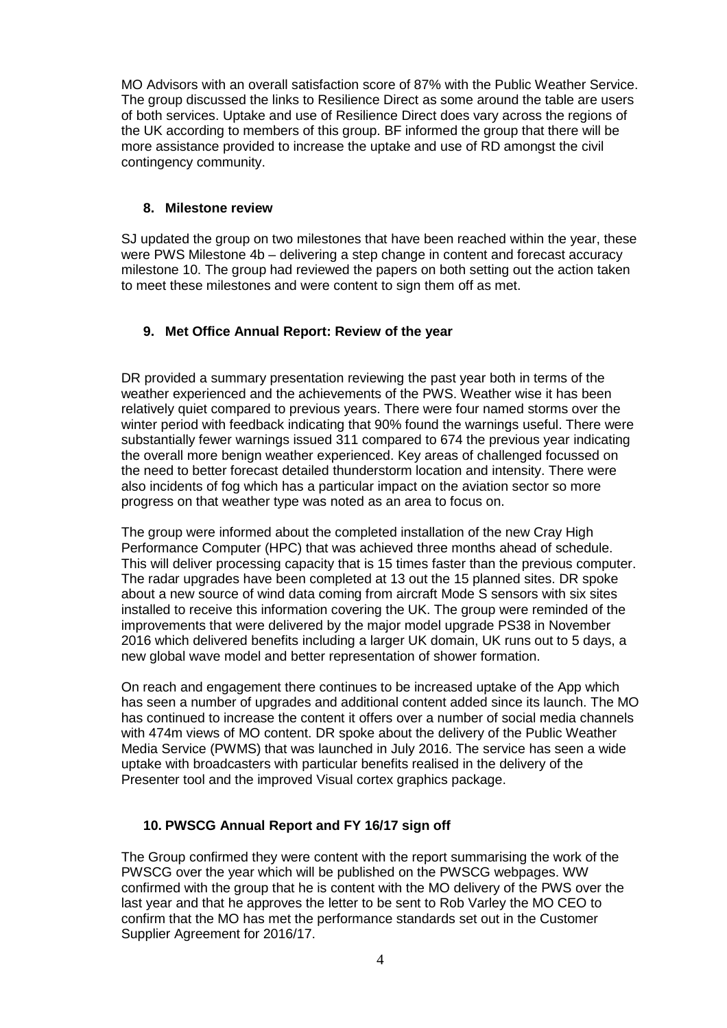MO Advisors with an overall satisfaction score of 87% with the Public Weather Service. The group discussed the links to Resilience Direct as some around the table are users of both services. Uptake and use of Resilience Direct does vary across the regions of the UK according to members of this group. BF informed the group that there will be more assistance provided to increase the uptake and use of RD amongst the civil contingency community.

### **8. Milestone review**

SJ updated the group on two milestones that have been reached within the year, these were PWS Milestone 4b – delivering a step change in content and forecast accuracy milestone 10. The group had reviewed the papers on both setting out the action taken to meet these milestones and were content to sign them off as met.

# **9. Met Office Annual Report: Review of the year**

DR provided a summary presentation reviewing the past year both in terms of the weather experienced and the achievements of the PWS. Weather wise it has been relatively quiet compared to previous years. There were four named storms over the winter period with feedback indicating that 90% found the warnings useful. There were substantially fewer warnings issued 311 compared to 674 the previous year indicating the overall more benign weather experienced. Key areas of challenged focussed on the need to better forecast detailed thunderstorm location and intensity. There were also incidents of fog which has a particular impact on the aviation sector so more progress on that weather type was noted as an area to focus on.

The group were informed about the completed installation of the new Cray High Performance Computer (HPC) that was achieved three months ahead of schedule. This will deliver processing capacity that is 15 times faster than the previous computer. The radar upgrades have been completed at 13 out the 15 planned sites. DR spoke about a new source of wind data coming from aircraft Mode S sensors with six sites installed to receive this information covering the UK. The group were reminded of the improvements that were delivered by the major model upgrade PS38 in November 2016 which delivered benefits including a larger UK domain, UK runs out to 5 days, a new global wave model and better representation of shower formation.

On reach and engagement there continues to be increased uptake of the App which has seen a number of upgrades and additional content added since its launch. The MO has continued to increase the content it offers over a number of social media channels with 474m views of MO content. DR spoke about the delivery of the Public Weather Media Service (PWMS) that was launched in July 2016. The service has seen a wide uptake with broadcasters with particular benefits realised in the delivery of the Presenter tool and the improved Visual cortex graphics package.

### **10. PWSCG Annual Report and FY 16/17 sign off**

The Group confirmed they were content with the report summarising the work of the PWSCG over the year which will be published on the PWSCG webpages. WW confirmed with the group that he is content with the MO delivery of the PWS over the last year and that he approves the letter to be sent to Rob Varley the MO CEO to confirm that the MO has met the performance standards set out in the Customer Supplier Agreement for 2016/17.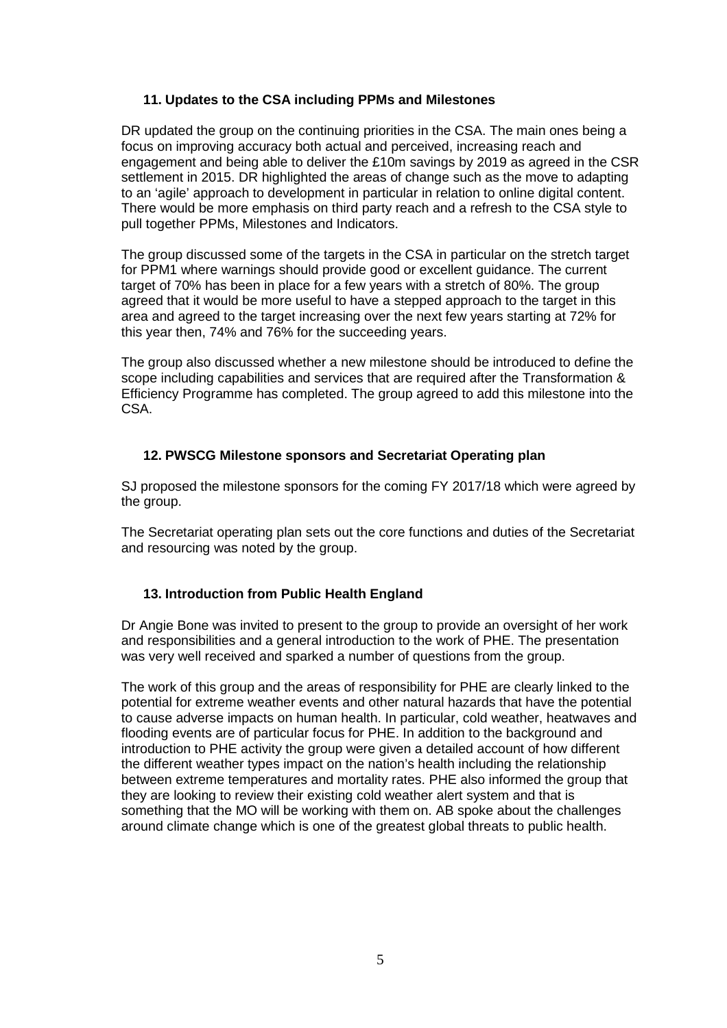### **11. Updates to the CSA including PPMs and Milestones**

DR updated the group on the continuing priorities in the CSA. The main ones being a focus on improving accuracy both actual and perceived, increasing reach and engagement and being able to deliver the £10m savings by 2019 as agreed in the CSR settlement in 2015. DR highlighted the areas of change such as the move to adapting to an 'agile' approach to development in particular in relation to online digital content. There would be more emphasis on third party reach and a refresh to the CSA style to pull together PPMs, Milestones and Indicators.

The group discussed some of the targets in the CSA in particular on the stretch target for PPM1 where warnings should provide good or excellent guidance. The current target of 70% has been in place for a few years with a stretch of 80%. The group agreed that it would be more useful to have a stepped approach to the target in this area and agreed to the target increasing over the next few years starting at 72% for this year then, 74% and 76% for the succeeding years.

The group also discussed whether a new milestone should be introduced to define the scope including capabilities and services that are required after the Transformation & Efficiency Programme has completed. The group agreed to add this milestone into the CSA.

### **12. PWSCG Milestone sponsors and Secretariat Operating plan**

SJ proposed the milestone sponsors for the coming FY 2017/18 which were agreed by the group.

The Secretariat operating plan sets out the core functions and duties of the Secretariat and resourcing was noted by the group.

# **13. Introduction from Public Health England**

Dr Angie Bone was invited to present to the group to provide an oversight of her work and responsibilities and a general introduction to the work of PHE. The presentation was very well received and sparked a number of questions from the group.

The work of this group and the areas of responsibility for PHE are clearly linked to the potential for extreme weather events and other natural hazards that have the potential to cause adverse impacts on human health. In particular, cold weather, heatwaves and flooding events are of particular focus for PHE. In addition to the background and introduction to PHE activity the group were given a detailed account of how different the different weather types impact on the nation's health including the relationship between extreme temperatures and mortality rates. PHE also informed the group that they are looking to review their existing cold weather alert system and that is something that the MO will be working with them on. AB spoke about the challenges around climate change which is one of the greatest global threats to public health.